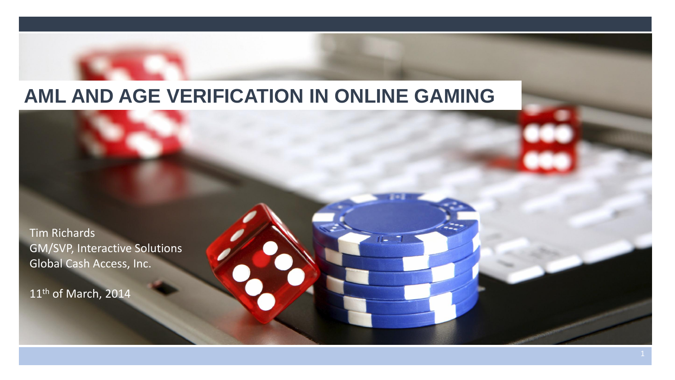## **AML AND AGE VERIFICATION IN ONLINE GAMING**

Tim Richards GM/SVP, Interactive Solutions Global Cash Access, Inc.

11<sup>th</sup> of March, 2014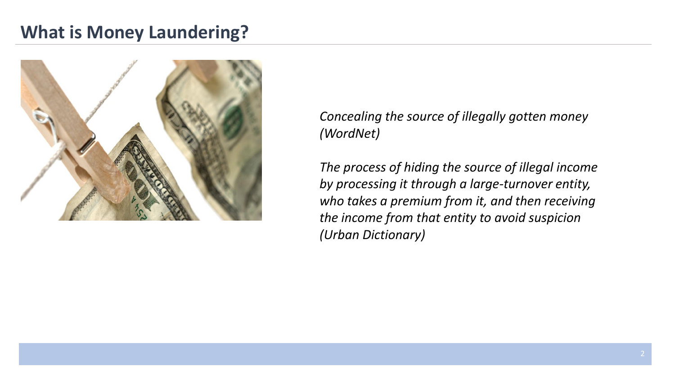### **What is Money Laundering?**



*Concealing the source of illegally gotten money (WordNet)*

*The process of hiding the source of illegal income by processing it through a large-turnover entity, who takes a premium from it, and then receiving the income from that entity to avoid suspicion (Urban Dictionary)*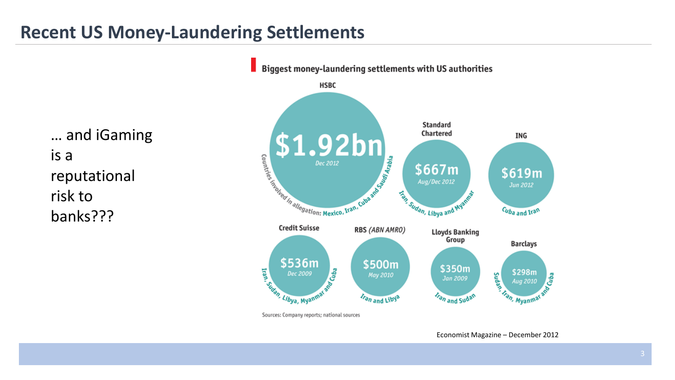### **Recent US Money-Laundering Settlements**

… and iGaming is a reputational risk to banks???



Economist Magazine – December 2012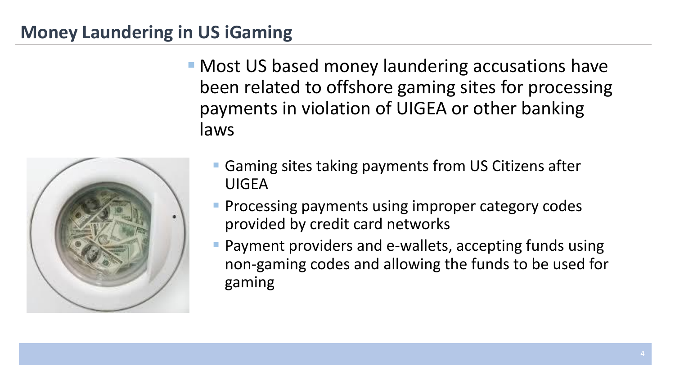### **Money Laundering in US iGaming**

**• Most US based money laundering accusations have** been related to offshore gaming sites for processing payments in violation of UIGEA or other banking laws



- **Gaming sites taking payments from US Citizens after** UIGEA
- **Processing payments using improper category codes** provided by credit card networks
- **Payment providers and e-wallets, accepting funds using** non-gaming codes and allowing the funds to be used for gaming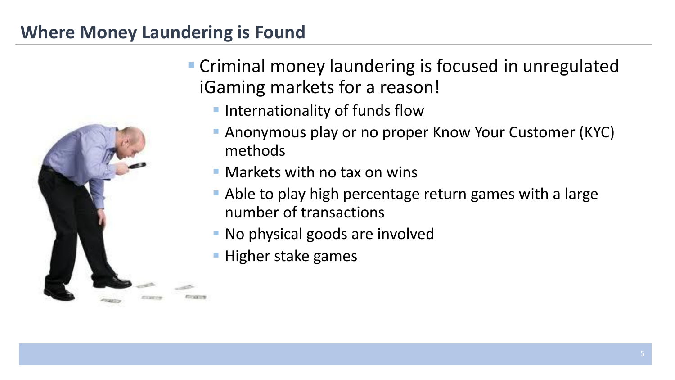# **Where Money Laundering is Found**



- Criminal money laundering is focused in unregulated iGaming markets for a reason!
	- **Internationality of funds flow**
	- **Anonymous play or no proper Know Your Customer (KYC)** methods
	- Markets with no tax on wins
	- Able to play high percentage return games with a large number of transactions
	- **No physical goods are involved**
	- **Higher stake games**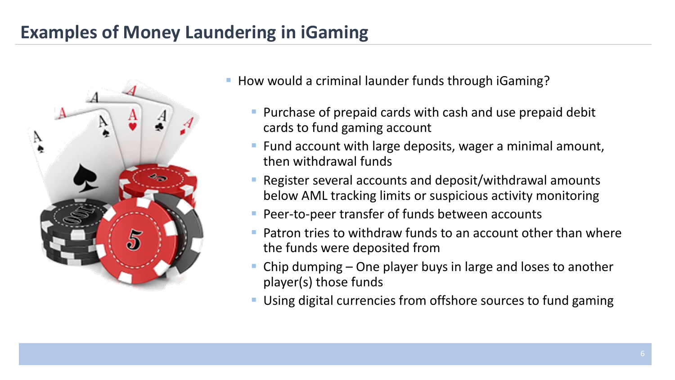## **Examples of Money Laundering in iGaming**



- How would a criminal launder funds through iGaming?
	- **Purchase of prepaid cards with cash and use prepaid debit** cards to fund gaming account
	- **Fund account with large deposits, wager a minimal amount,** then withdrawal funds
	- Register several accounts and deposit/withdrawal amounts below AML tracking limits or suspicious activity monitoring
	- **Peer-to-peer transfer of funds between accounts**
	- Patron tries to withdraw funds to an account other than where the funds were deposited from
	- Chip dumping One player buys in large and loses to another player(s) those funds
	- Using digital currencies from offshore sources to fund gaming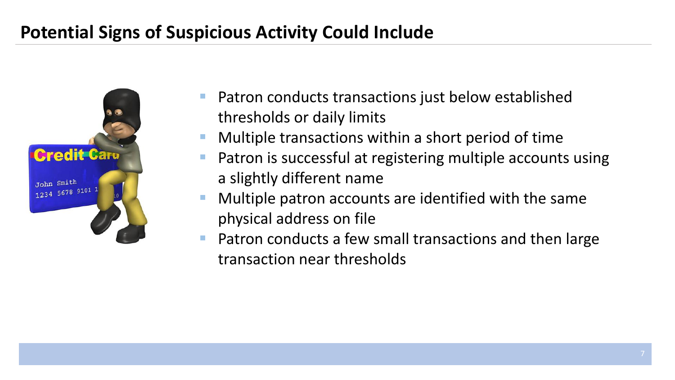## **Potential Signs of Suspicious Activity Could Include**



- Patron conducts transactions just below established thresholds or daily limits
- Multiple transactions within a short period of time
- Patron is successful at registering multiple accounts using a slightly different name
- Multiple patron accounts are identified with the same physical address on file
- Patron conducts a few small transactions and then large transaction near thresholds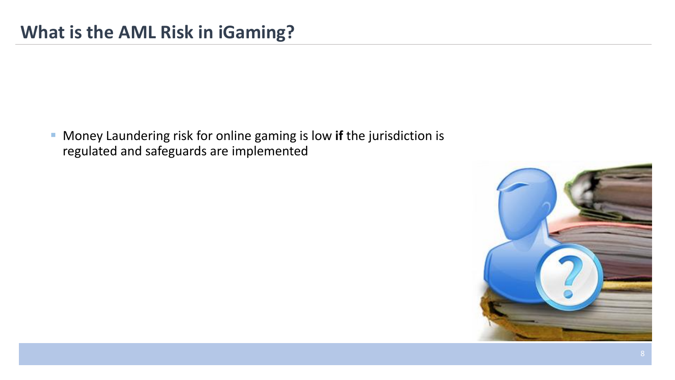Money Laundering risk for online gaming is low **if** the jurisdiction is regulated and safeguards are implemented

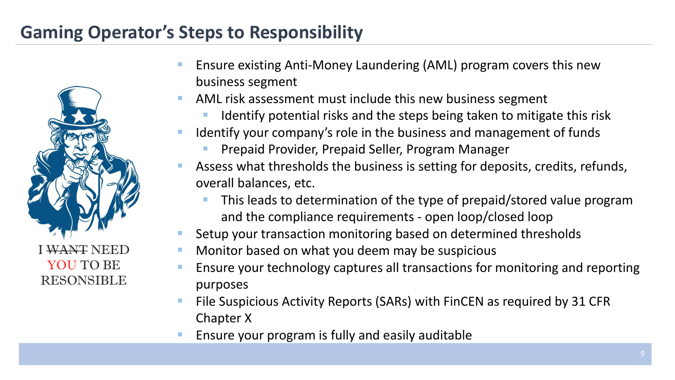### **Gaming Operator's Steps to Responsibility**



- Ensure existing Anti-Money Laundering (AML) program covers this new business segment
- AML risk assessment must include this new business segment
	- Identify potential risks and the steps being taken to mitigate this risk
- Identify your company's role in the business and management of funds
	- Prepaid Provider, Prepaid Seller, Program Manager
- Assess what thresholds the business is setting for deposits, credits, refunds, overall balances, etc.
	- This leads to determination of the type of prepaid/stored value program and the compliance requirements - open loop/closed loop
- Setup your transaction monitoring based on determined thresholds
- Monitor based on what you deem may be suspicious
- Ensure your technology captures all transactions for monitoring and reporting purposes
- File Suspicious Activity Reports (SARs) with FinCEN as required by 31 CFR Chapter X
- Ensure your program is fully and easily auditable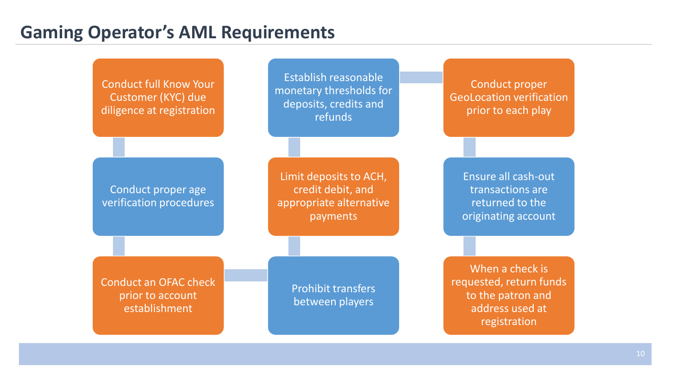#### **Gaming Operator's AML Requirements**

Conduct full Know Your Customer (KYC) due diligence at registration Conduct proper age verification procedures Conduct an OFAC check prior to account establishment Prohibit transfers between players Limit deposits to ACH, credit debit, and appropriate alternative payments Establish reasonable monetary thresholds for deposits, credits and refunds Conduct proper GeoLocation verification prior to each play Ensure all cash-out transactions are returned to the originating account When a check is requested, return funds to the patron and address used at registration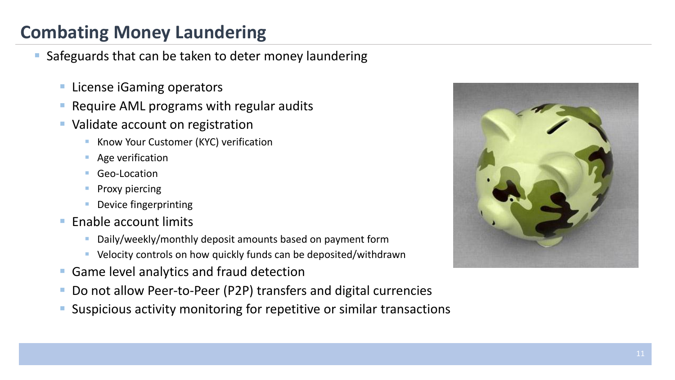## **Combating Money Laundering**

Safeguards that can be taken to deter money laundering

- **License iGaming operators**
- **Require AML programs with regular audits**
- Validate account on registration
	- Know Your Customer (KYC) verification
	- **Age verification**
	- Geo-Location
	- Proxy piercing
	- **Device fingerprinting**
- Enable account limits
	- Daily/weekly/monthly deposit amounts based on payment form
	- Velocity controls on how quickly funds can be deposited/withdrawn
- Game level analytics and fraud detection
- Do not allow Peer-to-Peer (P2P) transfers and digital currencies
- Suspicious activity monitoring for repetitive or similar transactions

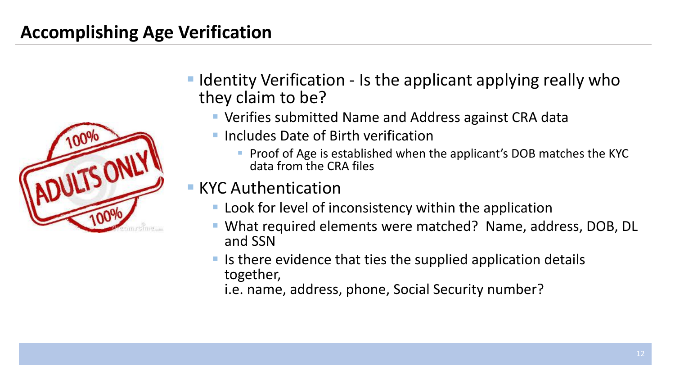## **Accomplishing Age Verification**



- **I** Identity Verification Is the applicant applying really who they claim to be?
	- Verifies submitted Name and Address against CRA data
	- Includes Date of Birth verification
		- **Proof of Age is established when the applicant's DOB matches the KYC** data from the CRA files

#### **KYC Authentication**

- **Look for level of inconsistency within the application**
- What required elements were matched? Name, address, DOB, DL and SSN
- $\blacksquare$  Is there evidence that ties the supplied application details together,

i.e. name, address, phone, Social Security number?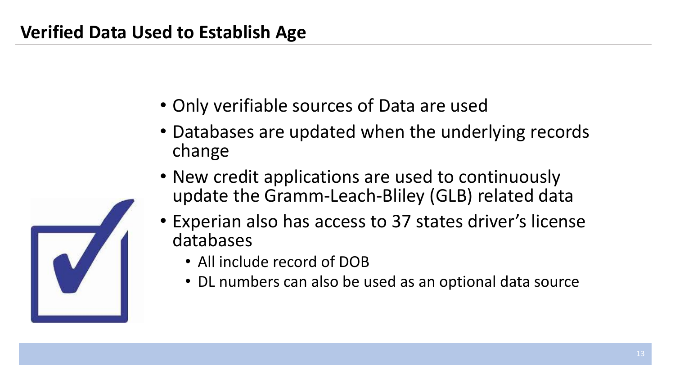## **Verified Data Used to Establish Age**

- Only verifiable sources of Data are used
- Databases are updated when the underlying records change
- New credit applications are used to continuously update the Gramm-Leach-Bliley (GLB) related data
- Experian also has access to 37 states driver's license databases
	- All include record of DOB
	- DL numbers can also be used as an optional data source

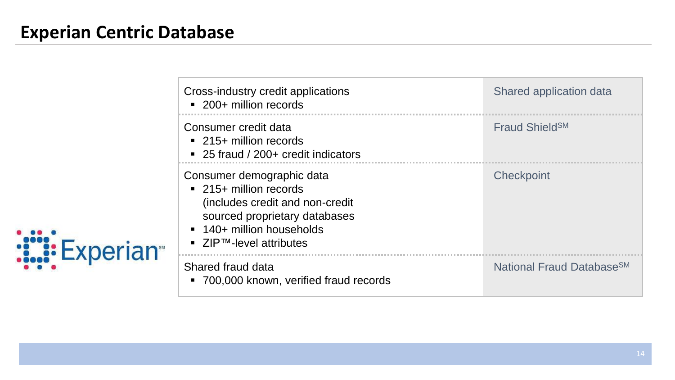### **Experian Centric Database**

|                 | Cross-industry credit applications<br>• 200+ million records                                                                                                                                               | Shared application data               |
|-----------------|------------------------------------------------------------------------------------------------------------------------------------------------------------------------------------------------------------|---------------------------------------|
|                 | Consumer credit data<br>$\blacksquare$ 215+ million records<br>■ 25 fraud / 200+ credit indicators                                                                                                         | Fraud Shield <sup>SM</sup>            |
| <b>Experian</b> | Consumer demographic data<br>• 215+ million records<br>(includes credit and non-credit<br>sourced proprietary databases<br>• 140+ million households<br>$\blacksquare$ ZIP <sup>TM</sup> -level attributes | Checkpoint                            |
|                 | Shared fraud data<br>• 700,000 known, verified fraud records                                                                                                                                               | National Fraud Database <sup>SM</sup> |